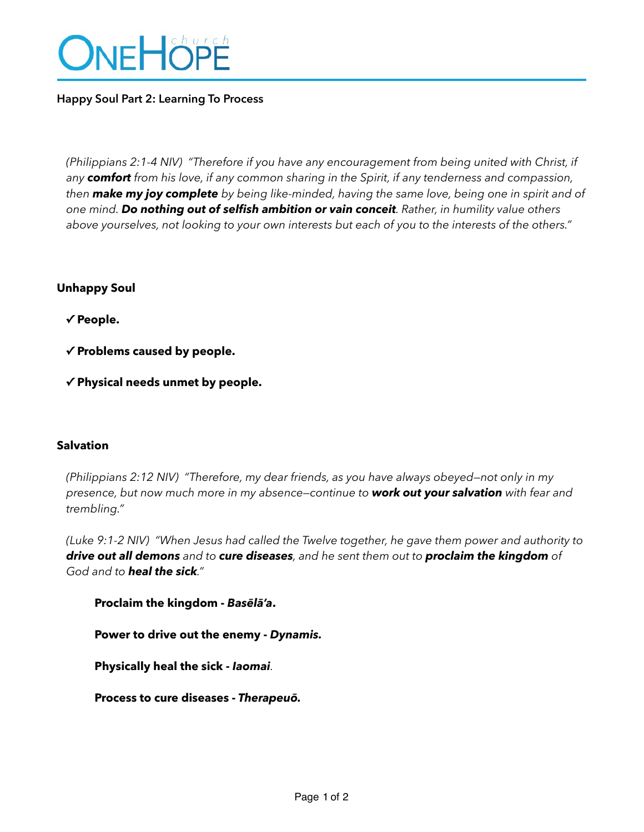

# **Happy Soul Part 2: Learning To Process**

*(Philippians 2:1-4 NIV) "Therefore if you have any encouragement from being united with Christ, if any comfort from his love, if any common sharing in the Spirit, if any tenderness and compassion, then make my joy complete by being like-minded, having the same love, being one in spirit and of one mind. Do nothing out of selfish ambition or vain conceit. Rather, in humility value others above yourselves, not looking to your own interests but each of you to the interests of the others."*

# **Unhappy Soul**

 **✓ People.**

 **✓ Problems caused by people.** 

**✓ Physical needs unmet by people.** 

### **Salvation**

*(Philippians 2:12 NIV) "Therefore, my dear friends, as you have always obeyed—not only in my presence, but now much more in my absence—continue to work out your salvation with fear and trembling."* 

*(Luke 9:1-2 NIV) "When Jesus had called the Twelve together, he gave them power and authority to drive out all demons and to cure diseases, and he sent them out to proclaim the kingdom of God and to heal the sick."* 

**Proclaim the kingdom -** *Basēlā'a***.**

**Power to drive out the enemy -** *Dynamis.*

**Physically heal the sick -** *Iaomai.*

**Process to cure diseases -** *Therapeuō.*